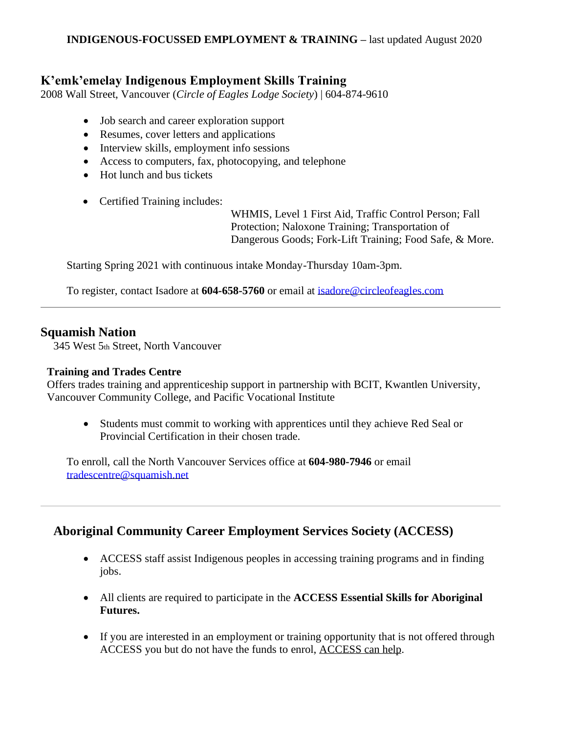#### **INDIGENOUS-FOCUSSED EMPLOYMENT & TRAINING –** last updated August 2020

## **K'emk'emelay Indigenous Employment Skills Training**

2008 Wall Street, Vancouver (*Circle of Eagles Lodge Society*) | 604-874-9610

- Job search and career exploration support
- Resumes, cover letters and applications
- Interview skills, employment info sessions
- Access to computers, fax, photocopying, and telephone
- Hot lunch and bus tickets
- Certified Training includes:

WHMIS, Level 1 First Aid, Traffic Control Person; Fall Protection; Naloxone Training; Transportation of Dangerous Goods; Fork-Lift Training; Food Safe, & More.

Starting Spring 2021 with continuous intake Monday-Thursday 10am-3pm.

To register, contact Isadore at **604-658-5760** or email at [isadore@circleofeagles.com](mailto:isadore@circleofeagles.com)

### **Squamish Nation**

345 West 5th Street, North Vancouver

#### **Training and Trades Centre**

Offers trades training and apprenticeship support in partnership with BCIT, Kwantlen University, Vancouver Community College, and Pacific Vocational Institute

• Students must commit to working with apprentices until they achieve Red Seal or Provincial Certification in their chosen trade.

To enroll, call the North Vancouver Services office at **604-980-7946** or email [tradescentre@squamish.net](mailto:tradescentre@squamish.net)

# **Aboriginal Community Career Employment Services Society (ACCESS)**

- ACCESS staff assist Indigenous peoples in accessing training programs and in finding jobs.
- All clients are required to participate in the **ACCESS Essential Skills for Aboriginal Futures.**
- If you are interested in an employment or training opportunity that is not offered through ACCESS you but do not have the funds to enrol, ACCESS can help.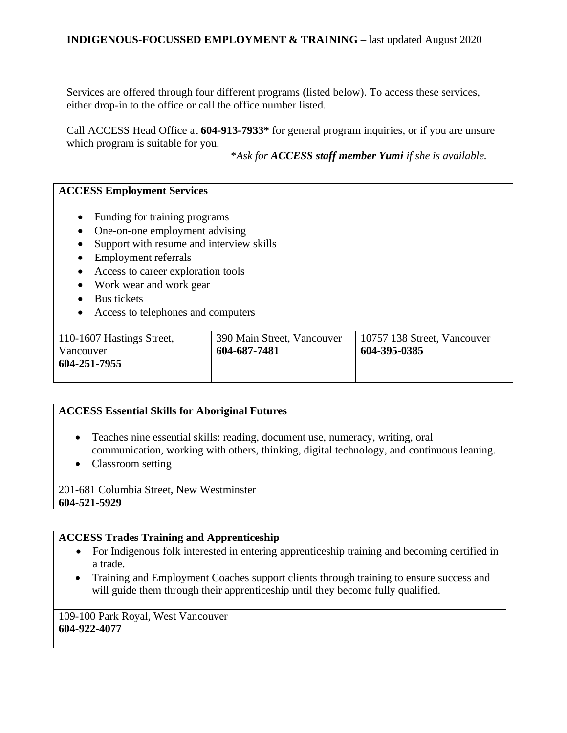### **INDIGENOUS-FOCUSSED EMPLOYMENT & TRAINING –** last updated August 2020

Services are offered through four different programs (listed below). To access these services, either drop-in to the office or call the office number listed.

Call ACCESS Head Office at **604-913-7933\*** for general program inquiries, or if you are unsure which program is suitable for you.

\**Ask for ACCESS staff member Yumi if she is available.* 

#### **ACCESS Employment Services**

- Funding for training programs
- One-on-one employment advising
- Support with resume and interview skills
- Employment referrals
- Access to career exploration tools
- Work wear and work gear
- Bus tickets
- Access to telephones and computers

| 110-1607 Hastings Street,<br>Vancouver<br>604-251-7955 | 390 Main Street, Vancouver<br>604-687-7481 | 10757 138 Street, Vancouver<br>604-395-0385 |
|--------------------------------------------------------|--------------------------------------------|---------------------------------------------|
|--------------------------------------------------------|--------------------------------------------|---------------------------------------------|

#### **ACCESS Essential Skills for Aboriginal Futures**

- Teaches nine essential skills: reading, document use, numeracy, writing, oral communication, working with others, thinking, digital technology, and continuous leaning.
- Classroom setting

201-681 Columbia Street, New Westminster **604-521-5929**

#### **ACCESS Trades Training and Apprenticeship**

- For Indigenous folk interested in entering apprenticeship training and becoming certified in a trade.
- Training and Employment Coaches support clients through training to ensure success and will guide them through their apprenticeship until they become fully qualified.

109-100 Park Royal, West Vancouver **604-922-4077**